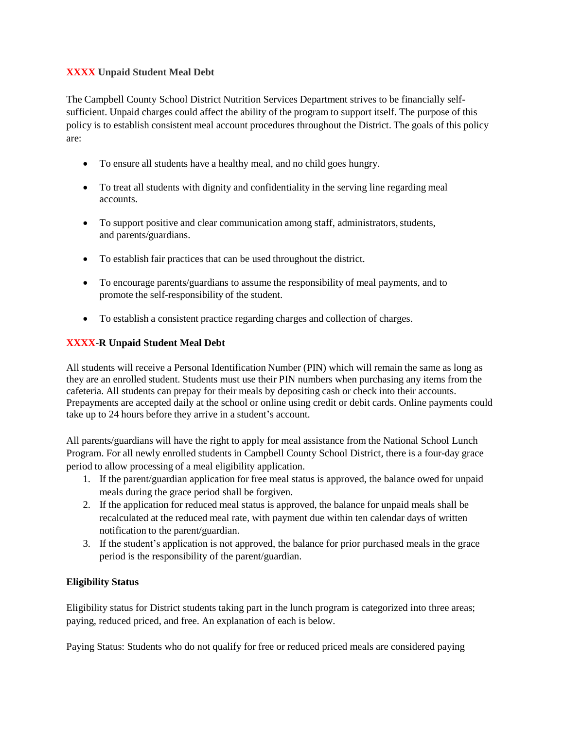# **XXXX Unpaid Student Meal Debt**

The Campbell County School District Nutrition Services Department strives to be financially selfsufficient. Unpaid charges could affect the ability of the program to support itself. The purpose of this policy is to establish consistent meal account procedures throughout the District. The goals of this policy are:

- To ensure all students have a healthy meal, and no child goes hungry.
- To treat all students with dignity and confidentiality in the serving line regarding meal accounts.
- To support positive and clear communication among staff, administrators, students, and parents/guardians.
- To establish fair practices that can be used throughout the district.
- To encourage parents/guardians to assume the responsibility of meal payments, and to promote the self-responsibility of the student.
- To establish a consistent practice regarding charges and collection of charges.

# **XXXX**-**R Unpaid Student Meal Debt**

All students will receive a Personal Identification Number (PIN) which will remain the same as long as they are an enrolled student. Students must use their PIN numbers when purchasing any items from the cafeteria. All students can prepay for their meals by depositing cash or check into their accounts. Prepayments are accepted daily at the school or online using credit or debit cards. Online payments could take up to 24 hours before they arrive in a student's account.

All parents/guardians will have the right to apply for meal assistance from the National School Lunch Program. For all newly enrolled students in Campbell County School District, there is a four-day grace period to allow processing of a meal eligibility application.

- 1. If the parent/guardian application for free meal status is approved, the balance owed for unpaid meals during the grace period shall be forgiven.
- 2. If the application for reduced meal status is approved, the balance for unpaid meals shall be recalculated at the reduced meal rate, with payment due within ten calendar days of written notification to the parent/guardian.
- 3. If the student's application is not approved, the balance for prior purchased meals in the grace period is the responsibility of the parent/guardian.

# **Eligibility Status**

Eligibility status for District students taking part in the lunch program is categorized into three areas; paying, reduced priced, and free. An explanation of each is below.

Paying Status: Students who do not qualify for free or reduced priced meals are considered paying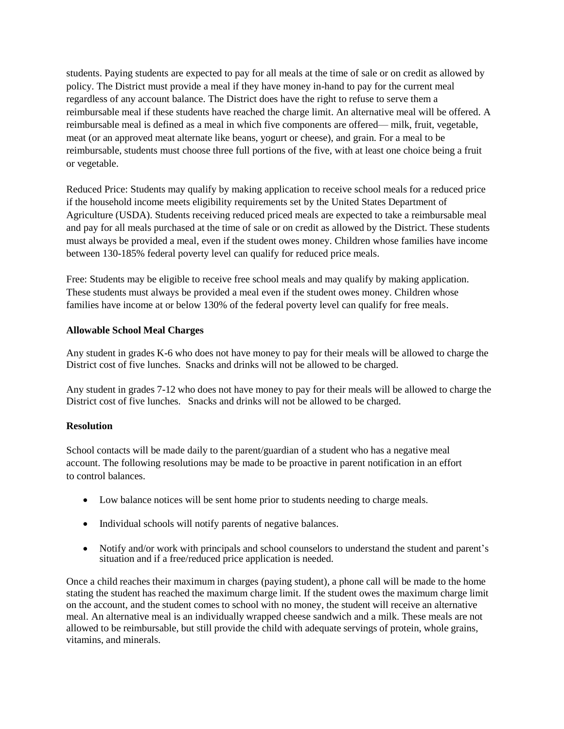students. Paying students are expected to pay for all meals at the time of sale or on credit as allowed by policy. The District must provide a meal if they have money in-hand to pay for the current meal regardless of any account balance. The District does have the right to refuse to serve them a reimbursable meal if these students have reached the charge limit. An alternative meal will be offered. A reimbursable meal is defined as a meal in which five components are offered— milk, fruit, vegetable, meat (or an approved meat alternate like beans, yogurt or cheese), and grain. For a meal to be reimbursable, students must choose three full portions of the five, with at least one choice being a fruit or vegetable.

Reduced Price: Students may qualify by making application to receive school meals for a reduced price if the household income meets eligibility requirements set by the United States Department of Agriculture (USDA). Students receiving reduced priced meals are expected to take a reimbursable meal and pay for all meals purchased at the time of sale or on credit as allowed by the District. These students must always be provided a meal, even if the student owes money. Children whose families have income between 130-185% federal poverty level can qualify for reduced price meals.

Free: Students may be eligible to receive free school meals and may qualify by making application. These students must always be provided a meal even if the student owes money. Children whose families have income at or below 130% of the federal poverty level can qualify for free meals.

### **Allowable School Meal Charges**

Any student in grades K-6 who does not have money to pay for their meals will be allowed to charge the District cost of five lunches. Snacks and drinks will not be allowed to be charged.

Any student in grades 7-12 who does not have money to pay for their meals will be allowed to charge the District cost of five lunches. Snacks and drinks will not be allowed to be charged.

### **Resolution**

School contacts will be made daily to the parent/guardian of a student who has a negative meal account. The following resolutions may be made to be proactive in parent notification in an effort to control balances.

- Low balance notices will be sent home prior to students needing to charge meals.
- Individual schools will notify parents of negative balances.
- Notify and/or work with principals and school counselors to understand the student and parent's situation and if a free/reduced price application is needed.

Once a child reaches their maximum in charges (paying student), a phone call will be made to the home stating the student has reached the maximum charge limit. If the student owes the maximum charge limit on the account, and the student comes to school with no money, the student will receive an alternative meal. An alternative meal is an individually wrapped cheese sandwich and a milk. These meals are not allowed to be reimbursable, but still provide the child with adequate servings of protein, whole grains, vitamins, and minerals.